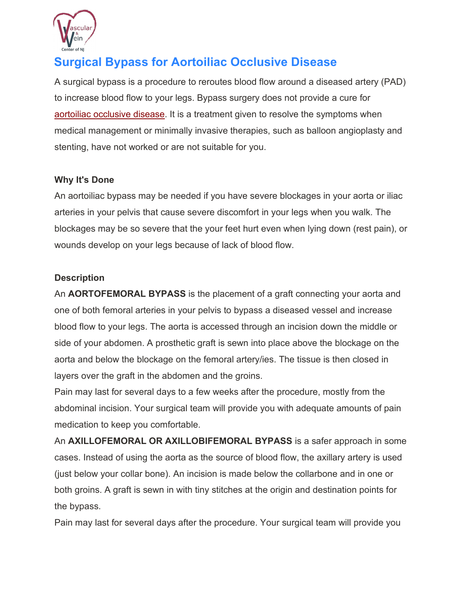

# **Surgical Bypass for Aortoiliac Occlusive Disease**

A surgical bypass is a procedure to reroutes blood flow around a diseased artery (PAD) to increase blood flow to your legs. Bypass surgery does not provide a cure for aortoiliac occlusive disease. It is a treatment given to resolve the symptoms when medical management or minimally invasive therapies, such as balloon angioplasty and stenting, have not worked or are not suitable for you.

## **Why It's Done**

An aortoiliac bypass may be needed if you have severe blockages in your aorta or iliac arteries in your pelvis that cause severe discomfort in your legs when you walk. The blockages may be so severe that the your feet hurt even when lying down (rest pain), or wounds develop on your legs because of lack of blood flow.

## **Description**

An **AORTOFEMORAL BYPASS** is the placement of a graft connecting your aorta and one of both femoral arteries in your pelvis to bypass a diseased vessel and increase blood flow to your legs. The aorta is accessed through an incision down the middle or side of your abdomen. A prosthetic graft is sewn into place above the blockage on the aorta and below the blockage on the femoral artery/ies. The tissue is then closed in layers over the graft in the abdomen and the groins.

Pain may last for several days to a few weeks after the procedure, mostly from the abdominal incision. Your surgical team will provide you with adequate amounts of pain medication to keep you comfortable.

An **AXILLOFEMORAL OR AXILLOBIFEMORAL BYPASS** is a safer approach in some cases. Instead of using the aorta as the source of blood flow, the axillary artery is used (just below your collar bone). An incision is made below the collarbone and in one or both groins. A graft is sewn in with tiny stitches at the origin and destination points for the bypass.

Pain may last for several days after the procedure. Your surgical team will provide you